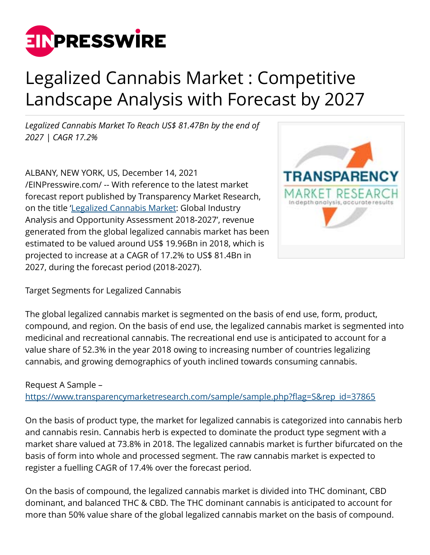

# Legalized Cannabis Market : Competitive Landscape Analysis with Forecast by 2027

*Legalized Cannabis Market To Reach US\$ 81.47Bn by the end of 2027 | CAGR 17.2%*

ALBANY, NEW YORK, US, December 14, 2021 [/EINPresswire.com/](http://www.einpresswire.com) -- With reference to the latest market forecast report published by Transparency Market Research, on the title '[Legalized Cannabis Market:](https://www.transparencymarketresearch.com/legal-cannabis-medical-market.html) Global Industry Analysis and Opportunity Assessment 2018-2027', revenue generated from the global legalized cannabis market has been estimated to be valued around US\$ 19.96Bn in 2018, which is projected to increase at a CAGR of 17.2% to US\$ 81.4Bn in 2027, during the forecast period (2018-2027).



Target Segments for Legalized Cannabis

The global legalized cannabis market is segmented on the basis of end use, form, product, compound, and region. On the basis of end use, the legalized cannabis market is segmented into medicinal and recreational cannabis. The recreational end use is anticipated to account for a value share of 52.3% in the year 2018 owing to increasing number of countries legalizing cannabis, and growing demographics of youth inclined towards consuming cannabis.

## Request A Sample –

[https://www.transparencymarketresearch.com/sample/sample.php?flag=S&rep\\_id=37865](https://www.transparencymarketresearch.com/sample/sample.php?flag=S&rep_id=37865)

On the basis of product type, the market for legalized cannabis is categorized into cannabis herb and cannabis resin. Cannabis herb is expected to dominate the product type segment with a market share valued at 73.8% in 2018. The legalized cannabis market is further bifurcated on the basis of form into whole and processed segment. The raw cannabis market is expected to register a fuelling CAGR of 17.4% over the forecast period.

On the basis of compound, the legalized cannabis market is divided into THC dominant, CBD dominant, and balanced THC & CBD. The THC dominant cannabis is anticipated to account for more than 50% value share of the global legalized cannabis market on the basis of compound.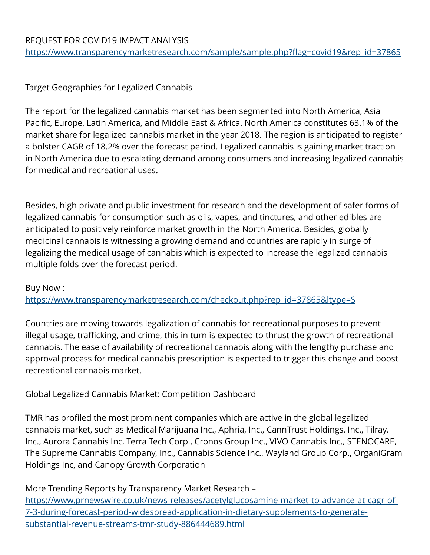## REQUEST FOR COVID19 IMPACT ANALYSIS – [https://www.transparencymarketresearch.com/sample/sample.php?flag=covid19&rep\\_id=37865](https://www.transparencymarketresearch.com/sample/sample.php?flag=covid19&rep_id=37865)

## Target Geographies for Legalized Cannabis

The report for the legalized cannabis market has been segmented into North America, Asia Pacific, Europe, Latin America, and Middle East & Africa. North America constitutes 63.1% of the market share for legalized cannabis market in the year 2018. The region is anticipated to register a bolster CAGR of 18.2% over the forecast period. Legalized cannabis is gaining market traction in North America due to escalating demand among consumers and increasing legalized cannabis for medical and recreational uses.

Besides, high private and public investment for research and the development of safer forms of legalized cannabis for consumption such as oils, vapes, and tinctures, and other edibles are anticipated to positively reinforce market growth in the North America. Besides, globally medicinal cannabis is witnessing a growing demand and countries are rapidly in surge of legalizing the medical usage of cannabis which is expected to increase the legalized cannabis multiple folds over the forecast period.

## Buy Now :

[https://www.transparencymarketresearch.com/checkout.php?rep\\_id=37865&ltype=S](https://www.transparencymarketresearch.com/checkout.php?rep_id=37865&ltype=S)

Countries are moving towards legalization of cannabis for recreational purposes to prevent illegal usage, trafficking, and crime, this in turn is expected to thrust the growth of recreational cannabis. The ease of availability of recreational cannabis along with the lengthy purchase and approval process for medical cannabis prescription is expected to trigger this change and boost recreational cannabis market.

## Global Legalized Cannabis Market: Competition Dashboard

TMR has profiled the most prominent companies which are active in the global legalized cannabis market, such as Medical Marijuana Inc., Aphria, Inc., CannTrust Holdings, Inc., Tilray, Inc., Aurora Cannabis Inc, Terra Tech Corp., Cronos Group Inc., VIVO Cannabis Inc., STENOCARE, The Supreme Cannabis Company, Inc., Cannabis Science Inc., Wayland Group Corp., OrganiGram Holdings Inc, and Canopy Growth Corporation

## More Trending Reports by Transparency Market Research –

[https://www.prnewswire.co.uk/news-releases/acetylglucosamine-market-to-advance-at-cagr-of-](https://www.prnewswire.co.uk/news-releases/acetylglucosamine-market-to-advance-at-cagr-of-7-3-during-forecast-period-widespread-application-in-dietary-supplements-to-generate-substantial-revenue-streams-tmr-study-886444689.html)[7-3-during-forecast-period-widespread-application-in-dietary-supplements-to-generate](https://www.prnewswire.co.uk/news-releases/acetylglucosamine-market-to-advance-at-cagr-of-7-3-during-forecast-period-widespread-application-in-dietary-supplements-to-generate-substantial-revenue-streams-tmr-study-886444689.html)[substantial-revenue-streams-tmr-study-886444689.html](https://www.prnewswire.co.uk/news-releases/acetylglucosamine-market-to-advance-at-cagr-of-7-3-during-forecast-period-widespread-application-in-dietary-supplements-to-generate-substantial-revenue-streams-tmr-study-886444689.html)